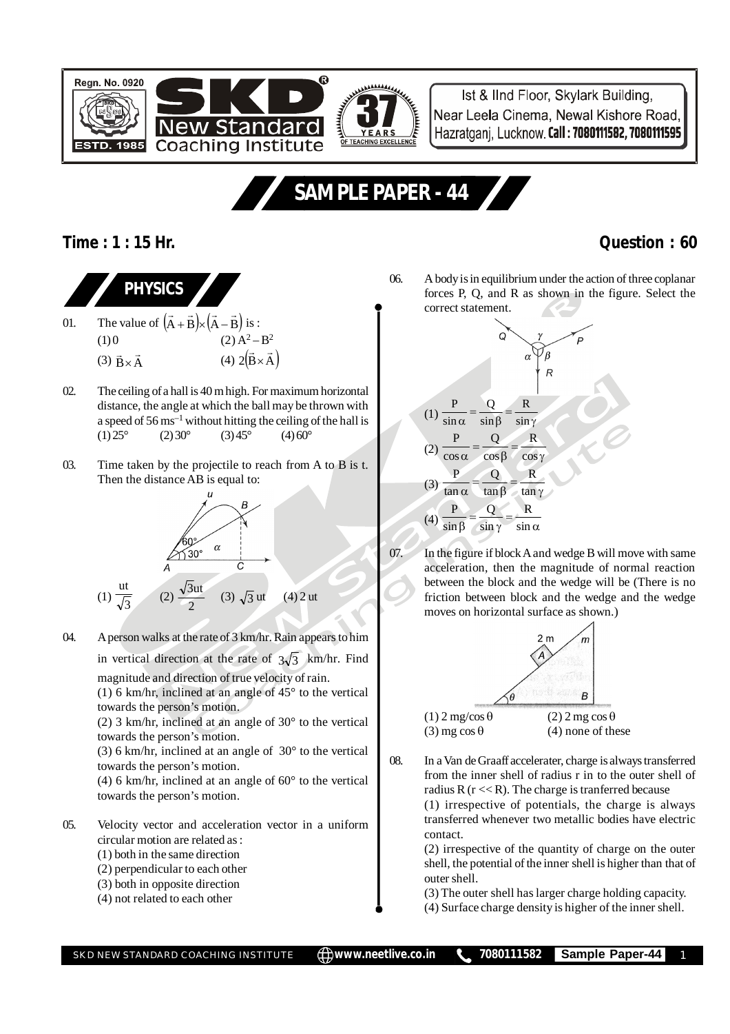

Ist & IInd Floor, Skylark Building, Near Leela Cinema, Newal Kishore Road, Hazratganj, Lucknow. Call: 7080111582, 7080111595

# **SAMPLE PAPER - 44**

### **Time : 1 : 15 Hr. Question : 60**

### **PHYSICS** 01. The value of  $(A + B) \times (A - B)$  $\rightarrow$   $\rightarrow$   $\rightarrow$   $\rightarrow$  $+ B \times (A - B)$  is : (1) 0 (2)  $A^2 - B^2$ (3)  $\vec{B} \times \vec{A}$  $\times \vec{A}$  (4) 2(B  $\times$  A)  $\overline{a}$  $\times$

- 02. The ceiling of a hall is 40 m high. For maximum horizontal distance, the angle at which the ball may be thrown with a speed of  $56 \text{ ms}^{-1}$  without hitting the ceiling of the hall is  $(1) 25^{\circ}$   $(2) 30^{\circ}$   $(3) 45^{\circ}$   $(4) 60^{\circ}$
- 03. Time taken by the projectile to reach from A to B is t. Then the distance AB is equal to:



04. A person walks at the rate of 3 km/hr. Rain appears to him in vertical direction at the rate of  $3\sqrt{3}$  km/hr. Find

magnitude and direction of true velocity of rain. (1) 6 km/hr, inclined at an angle of 45° to the vertical towards the person's motion.

(2) 3 km/hr, inclined at an angle of 30° to the vertical towards the person's motion.

(3) 6 km/hr, inclined at an angle of 30° to the vertical towards the person's motion.

(4) 6 km/hr, inclined at an angle of 60° to the vertical towards the person's motion.

- 05. Velocity vector and acceleration vector in a uniform circular motion are related as :
	- (1) both in the same direction
	- (2) perpendicular to each other (3) both in opposite direction
	- (4) not related to each other

06. A body is in equilibrium under the action of three coplanar forces P, Q, and R as shown in the figure. Select the correct statement.



07. In the figure if block A and wedge B will move with same acceleration, then the magnitude of normal reaction between the block and the wedge will be (There is no friction between block and the wedge and the wedge moves on horizontal surface as shown.)



08. In a Van de Graaff accelerater, charge is always transferred from the inner shell of radius r in to the outer shell of radius R  $(r \ll R)$ . The charge is tranferred because (1) irrespective of potentials, the charge is always transferred whenever two metallic bodies have electric contact.

> (2) irrespective of the quantity of charge on the outer shell, the potential of the inner shell is higher than that of outer shell.

(3) The outer shell has larger charge holding capacity.

(4) Surface charge density is higher of the inner shell.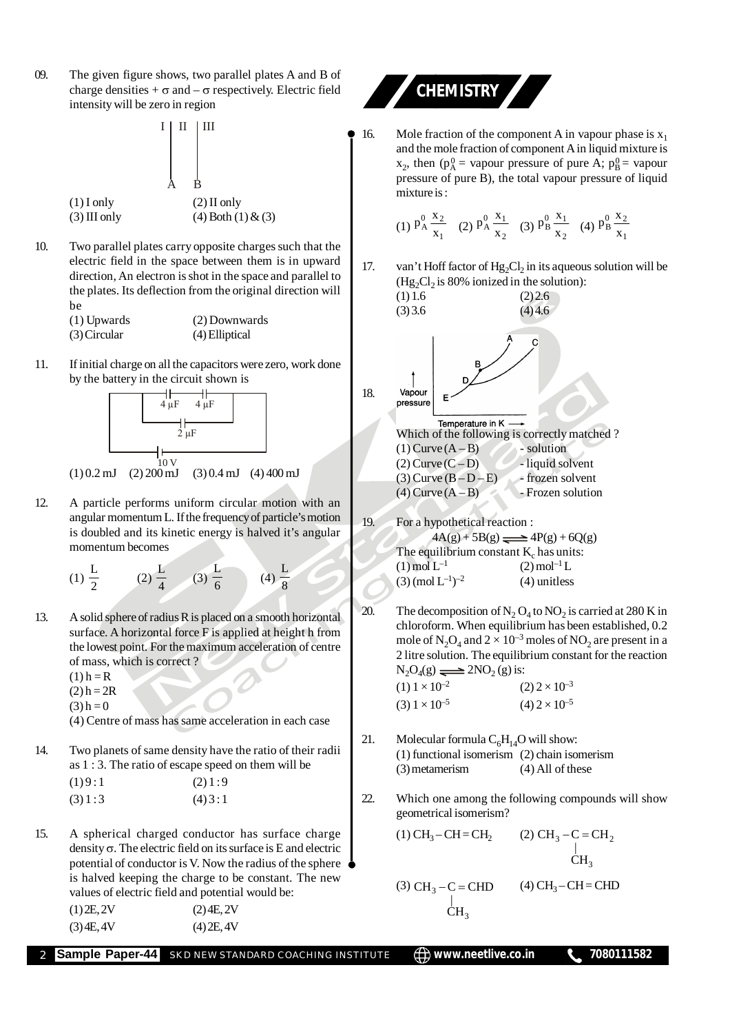09. The given figure shows, two parallel plates A and B of charge densities  $+\sigma$  and  $-\sigma$  respectively. Electric field intensity will be zero in region



- 10. Two parallel plates carry opposite charges such that the electric field in the space between them is in upward direction, An electron is shot in the space and parallel to the plates. Its deflection from the original direction will be (1) Upwards (2) Downwards (3) Circular (4) Elliptical
- 11. If initial charge on all the capacitors were zero, work done by the battery in the circuit shown is



- 12. A particle performs uniform circular motion with an angular momentum L. If the frequency of particle's motion is doubled and its kinetic energy is halved it's angular momentum becomes
	- (1)  $\frac{L}{2}$  (2)  $\frac{L}{4}$  (3)  $\frac{L}{6}$  (4)  $\frac{L}{8}$
- 13. A solid sphere of radius R is placed on a smooth horizontal surface. A horizontal force F is applied at height h from the lowest point. For the maximum acceleration of centre of mass, which is correct ?

 $(1)$  h = R

 $(2) h = 2R$ 

 $(3) h = 0$ 

(4) Centre of mass has same acceleration in each case

14. Two planets of same density have the ratio of their radii as 1 : 3. The ratio of escape speed on them will be  $(1)9:1$   $(2)1:9$ 

| (4)3:1 |
|--------|
|        |

15. A spherical charged conductor has surface charge density  $\sigma$ . The electric field on its surface is E and electric potential of conductor is V. Now the radius of the sphere is halved keeping the charge to be constant. The new values of electric field and potential would be:

| $(1)$ 2E, 2V | $(2)$ 4E, 2V |
|--------------|--------------|
| (3) 4E, 4V   | $(4)$ 2E, 4V |



16. Mole fraction of the component A in vapour phase is  $x_1$ and the mole fraction of component A in liquid mixture is  $x_2$ , then ( $p_A^0$  = vapour pressure of pure A;  $p_B^0$  = vapour pressure of pure B), the total vapour pressure of liquid mixture is :

(1) 
$$
P_A^0 \frac{x_2}{x_1}
$$
 (2)  $P_A^0 \frac{x_1}{x_2}$  (3)  $P_B^0 \frac{x_1}{x_2}$  (4)  $P_B^0 \frac{x_2}{x_1}$ 

17. van't Hoff factor of  $Hg_2Cl_2$  in its aqueous solution will be  $(Hg_2Cl_2)$  is 80% ionized in the solution):



- 20. The decomposition of  $N_2$  O<sub>4</sub> to  $NO_2$  is carried at 280 K in chloroform. When equilibrium has been established, 0.2 mole of  $\text{N}_2\text{O}_4$  and  $2 \times 10^{-3}$  moles of  $\text{NO}_2$  are present in a 2 litre solution. The equilibrium constant for the reaction  $N_2O_4(g) \rightleftharpoons 2NO_2(g)$  is:  $(1)$   $1 \times 10^{-2}$   $(2)$   $2 \times 10^{-3}$  $(3)$   $1 \times 10^{-5}$   $(4)$   $2 \times 10^{-5}$
- 21. Molecular formula  $C_6H_{14}O$  will show: (1) functional isomerism (2) chain isomerism (3) metamerism (4) All of these
- 22. Which one among the following compounds will show geometrical isomerism?

(1) CH<sub>3</sub>-CH=CH<sub>2</sub> (2) CH<sub>3</sub>-C=CH<sub>2</sub>  
\n
$$
\downarrow
$$
 CH<sub>3</sub>  
\n(3) CH<sub>3</sub>-C=CHD (4) CH<sub>3</sub>-CH=CHD

**Sample Paper-44** SKD NEW STANDARD COACHING INSTITUTE  $\bigoplus$  www.neetlive.co.in **1** 7080111582

 $CH<sub>3</sub>$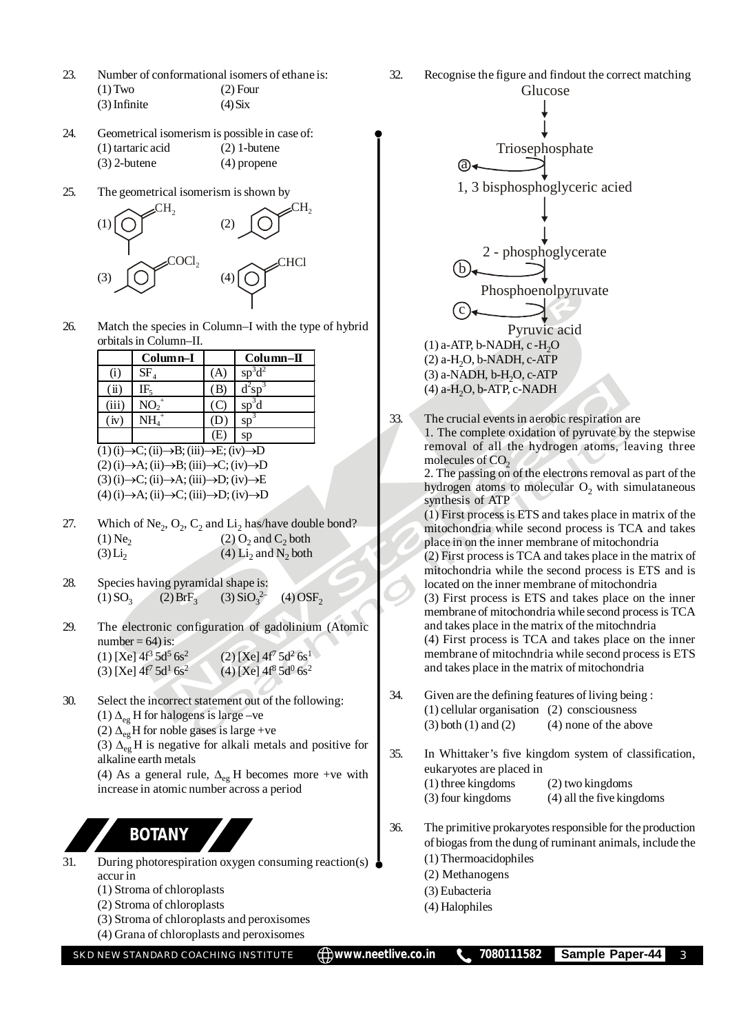- 23. Number of conformational isomers of ethane is: (1) Two (2) Four  $(3)$  Infinite (4) Six
- 24. Geometrical isomerism is possible in case of: (1) tartaric acid (2) 1-butene (3) 2-butene (4) propene
- 25. The geometrical isomerism is shown by



26. Match the species in Column–I with the type of hybrid orbitals in Column–II.

|                                        | $Column-I$        |   | $Column-II$ |
|----------------------------------------|-------------------|---|-------------|
| (1)                                    | $SF_{4}$          | А | $sp^3d^2$   |
| $\overline{\mathbf{u}}$                | IF.               | В | $d^2sp^3$   |
| (iii)                                  | $NO_2^+$          |   | $sp^3d$     |
| (iv)                                   | $\mathrm{NH_4}^+$ |   | $sp^3$      |
|                                        |                   | Œ | sp          |
| ∩د (G) – C∙ (G) – R∙ (G) – F∙ (Gy) – D |                   |   |             |

 $(1)$  (i) $\rightarrow$ C; (ii) $\rightarrow$ B; (iii) $\rightarrow$ E; (iv) $\rightarrow$ D  $(2)$  (i) $\rightarrow$ A; (ii) $\rightarrow$ B; (iii) $\rightarrow$ C; (iv) $\rightarrow$ D  $(3)$  (i) $\rightarrow$ C; (ii) $\rightarrow$ A; (iii) $\rightarrow$ D; (iv) $\rightarrow$ E  $(4)$  (i) $\rightarrow$ A; (ii) $\rightarrow$ C; (iii) $\rightarrow$ D; (iv) $\rightarrow$ D

- 27. Which of Ne<sub>2</sub>,  $O_2$ ,  $C_2$  and  $Li_2$  has/have double bond?  $(1)$  Ne<sub>2</sub>  $(2)$  O<sub>2</sub> and C<sub>2</sub> both  $(3)$  Li<sub>2</sub> (4)  $Li_2$  and  $N_2$  both
- 28. Species having pyramidal shape is:  $(1) SO<sub>3</sub>$  $(2) BrF_3$  $(3)$  SiO<sub>3</sub><sup>2-</sup>  $(4)$  OSF<sub>2</sub>
- 29. The electronic configuration of gadolinium (Atomic  $number = 64$ ) is:  $(1)$  [Xe]  $4f^3 5d^5 6s^2$  $(2)$  [Xe]  $4f<sup>7</sup> 5d<sup>2</sup> 6s<sup>1</sup>$ (3) [Xe]  $4f^7 5d^1 6s^2$ (4) [Xe]  $4f^8 5d^0 6s^2$
- 30. Select the incorrect statement out of the following: (1)  $\Delta_{eg}$  H for halogens is large –ve (2)  $\Delta_{eg}$ H for noble gases is large +ve

(3)  $\Delta_{eg}$  H is negative for alkali metals and positive for alkaline earth metals

(4) As a general rule,  $\Delta_{eg}$  H becomes more +ve with increase in atomic number across a period

## **BOTANY**

- 31. During photorespiration oxygen consuming reaction(s) accur in
	- (1) Stroma of chloroplasts
	- (2) Stroma of chloroplasts
	- (3) Stroma of chloroplasts and peroxisomes
	- (4) Grana of chloroplasts and peroxisomes



2. The passing on of the electrons removal as part of the hydrogen atoms to molecular  $O_2$  with simulataneous synthesis of ATP

(1) First process is ETS and takes place in matrix of the mitochondria while second process is TCA and takes place in on the inner membrane of mitochondria (2) First process is TCA and takes place in the matrix of

mitochondria while the second process is ETS and is located on the inner membrane of mitochondria

(3) First process is ETS and takes place on the inner membrane of mitochondria while second process is TCA and takes place in the matrix of the mitochndria

(4) First process is TCA and takes place on the inner membrane of mitochndria while second process is ETS and takes place in the matrix of mitochondria

- 34. Given are the defining features of living being : (1) cellular organisation (2) consciousness  $(3)$  both  $(1)$  and  $(2)$   $(4)$  none of the above
- 35. In Whittaker's five kingdom system of classification, eukaryotes are placed in
	- (1) three kingdoms (2) two kingdoms
	- (3) four kingdoms (4) all the five kingdoms
- 36. The primitive prokaryotes responsible for the production of biogas from the dung of ruminant animals, include the (1) Thermoacidophiles
	-
	- (2) Methanogens (3) Eubacteria
	- (4) Halophiles
-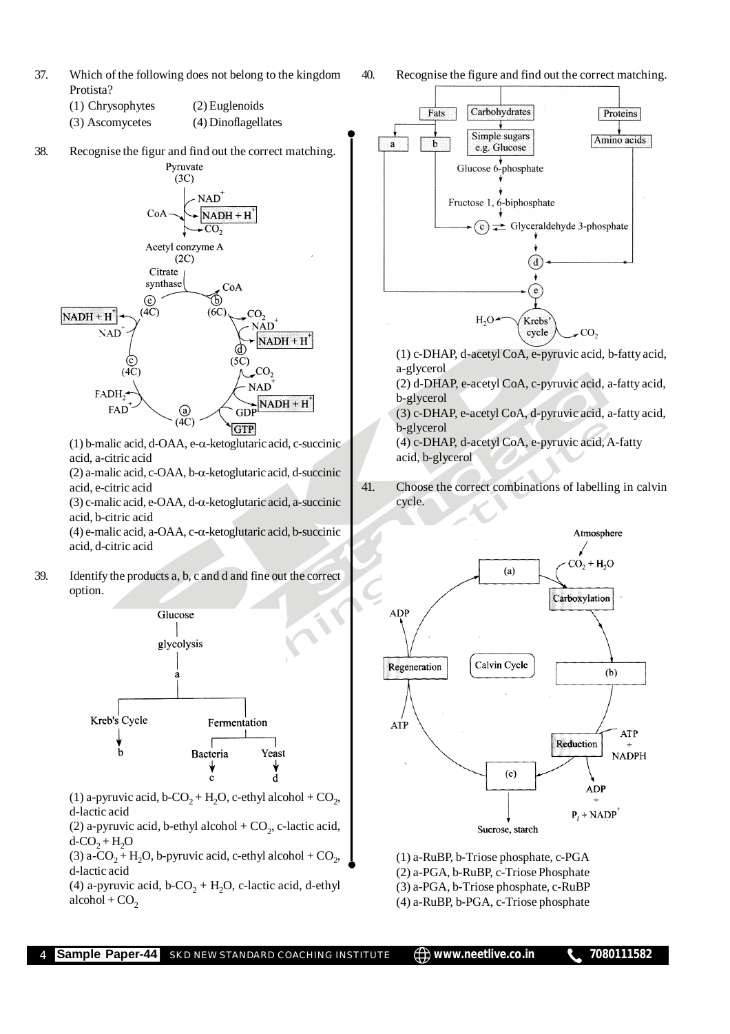- 37. Which of the following does not belong to the kingdom Protista?
	- (1) Chrysophytes (2) Euglenoids
	- (3) Ascomycetes (4) Dinoflagellates
- 38. Recognise the figur and find out the correct matching. Pyruvate



(1) b-malic acid, d-OAA, e- $\alpha$ -ketoglutaric acid, c-succinic acid, a-citric acid

 $(2)$  a-malic acid, c-OAA, b- $\alpha$ -ketoglutaric acid, d-succinic acid, e-citric acid

(3) c-malic acid, e-OAA, d- $\alpha$ -ketoglutaric acid, a-succinic acid, b-citric acid

 $(4)$  e-malic acid, a-OAA, c- $\alpha$ -ketoglutaric acid, b-succinic acid, d-citric acid

39. Identify the products a, b, c and d and fine out the correct option.



(1) a-pyruvic acid, b-CO<sub>2</sub> + H<sub>2</sub>O, c-ethyl alcohol + CO<sub>2</sub>, d-lactic acid

(2) a-pyruvic acid, b-ethyl alcohol +  $CO_2$ , c-lactic acid,  $d$ -CO<sub>2</sub> + H<sub>2</sub>O

(3) a-CO<sub>2</sub> + H<sub>2</sub>O, b-pyruvic acid, c-ethyl alcohol + CO<sub>2</sub>, d-lactic acid

(4) a-pyruvic acid, b-CO<sub>2</sub> + H<sub>2</sub>O, c-lactic acid, d-ethyl  $alcohol + CO<sub>2</sub>$ 

40. Recognise the figure and find out the correct matching.



(1) c-DHAP, d-acetyl CoA, e-pyruvic acid, b-fatty acid, a-glycerol

(2) d-DHAP, e-acetyl CoA, c-pyruvic acid, a-fatty acid, b-glycerol

(3) c-DHAP, e-acetyl CoA, d-pyruvic acid, a-fatty acid, b-glycerol

(4) c-DHAP, d-acetyl CoA, e-pyruvic acid, A-fatty acid, b-glycerol

41. Choose the correct combinations of labelling in calvin cycle.



(1) a-RuBP, b-Triose phosphate, c-PGA (2) a-PGA, b-RuBP, c-Triose Phosphate (3) a-PGA, b-Triose phosphate, c-RuBP (4) a-RuBP, b-PGA, c-Triose phosphate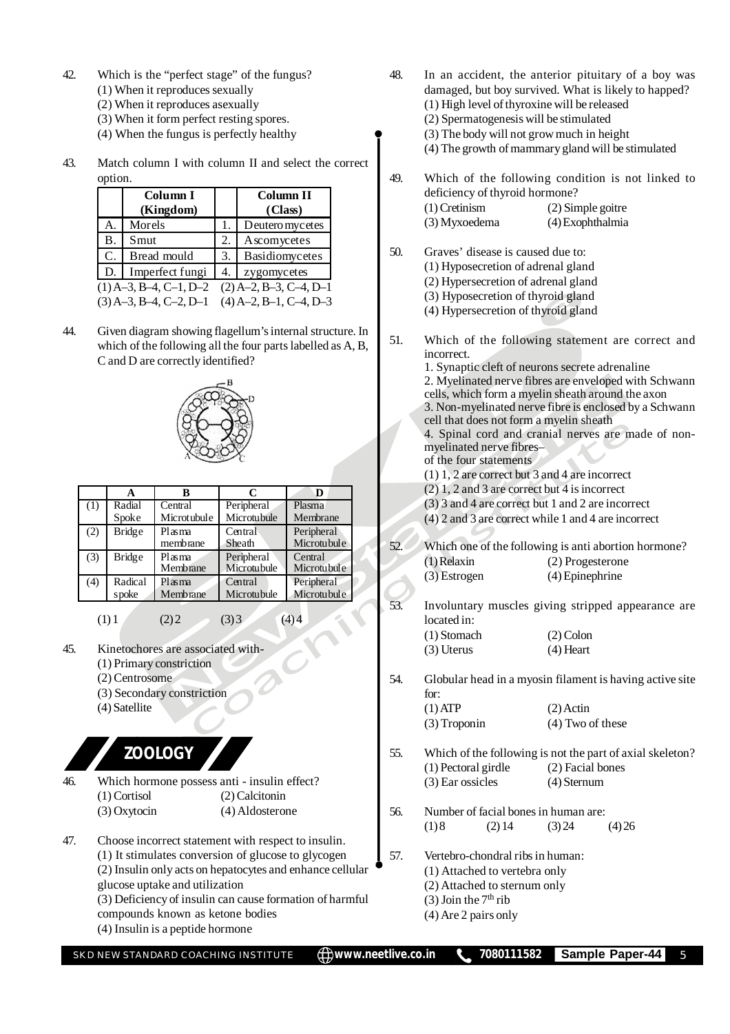- 42. Which is the "perfect stage" of the fungus?
	- (1) When it reproduces sexually
	- (2) When it reproduces asexually
	- (3) When it form perfect resting spores.
	- (4) When the fungus is perfectly healthy
- 43. Match column I with column II and select the correct option.

|             | Column I                 |    | Column II                |
|-------------|--------------------------|----|--------------------------|
|             | (Kingdom)                |    | (Class)                  |
| A.          | Morels                   | 1. | Deutero mycetes          |
| Β.          | Smut                     | 2. | Ascomycetes              |
| $C_{\cdot}$ | Bread mould              | 3. | Basidiomycetes           |
| D.          | Imperfect fungi          | 4. | zygomycetes              |
|             | $(1)$ A-3, B-4, C-1, D-2 |    | $(2)$ A-2, B-3, C-4, D-1 |
|             | $(3)$ A-3, B-4, C-2, D-1 |    | $(4)$ A-2, B-1, C-4, D-3 |

44. Given diagram showing flagellum's internal structure. In which of the following all the four parts labelled as A, B, C and D are correctly identified?



|     | A                | в                      | C                             | D                         |
|-----|------------------|------------------------|-------------------------------|---------------------------|
| (1) | Radial<br>Spoke  | Central<br>Microtubule | Peripheral<br>Microtubule     | Plasma<br>Membrane        |
| (2) | Bridge           | Plasma<br>membrane     | Central<br>Sheath             | Peripheral<br>Microtubule |
| (3) | <b>Bridge</b>    | Plasma<br>Membrane     | Peripheral<br>Microtubule     | Central<br>Microtubule    |
| (4) | Radical<br>spoke | $Pl$ as ma<br>Membrane | Central<br><b>Microtubule</b> | Peripheral<br>Microtubule |

 $(1) 1$   $(2) 2$   $(3) 3$ 

- 45. Kinetochores are associated with-
	- (1) Primary constriction
	- (2) Centrosome
	- (3) Secondary constriction
	- (4) Satellite

**ZOOLOGY**

- 46. Which hormone possess anti insulin effect? (1) Cortisol (2) Calcitonin (3) Oxytocin (4) Aldosterone
- 47. Choose incorrect statement with respect to insulin. (1) It stimulates conversion of glucose to glycogen (2) Insulin only acts on hepatocytes and enhance cellular glucose uptake and utilization (3) Deficiency of insulin can cause formation of harmful
	- compounds known as ketone bodies (4) Insulin is a peptide hormone
	-

48. In an accident, the anterior pituitary of a boy was damaged, but boy survived. What is likely to happed? (1) High level of thyroxine will be released

- (2) Spermatogenesis will be stimulated
- (3) The body will not grow much in height
- (4) The growth of mammary gland will be stimulated
- 49. Which of the following condition is not linked to deficiency of thyroid hormone? (1) Cretinism (2) Simple goitre
	- (3) Myxoedema (4) Exophthalmia
- 50. Graves' disease is caused due to:
	- (1) Hyposecretion of adrenal gland
	- (2) Hypersecretion of adrenal gland
	- (3) Hyposecretion of thyroid gland
	- (4) Hypersecretion of thyroid gland
- 51. Which of the following statement are correct and incorrect. 1. Synaptic cleft of neurons secrete adrenaline 2. Myelinated nerve fibres are enveloped with Schwann cells, which form a myelin sheath around the axon 3. Non-myelinated nerve fibre is enclosed by a Schwann cell that does not form a myelin sheath 4. Spinal cord and cranial nerves are made of non
	- myelinated nerve fibres– of the four statements
	- (1) 1, 2 are correct but 3 and 4 are incorrect
	- (2) 1, 2 and 3 are correct but 4 is incorrect
	- (3) 3 and 4 are correct but 1 and 2 are incorrect
	- (4) 2 and 3 are correct while 1 and 4 are incorrect
- 52. Which one of the following is anti abortion hormone? (1) Relaxin (2) Progesterone (3) Estrogen (4) Epinephrine
- 53. Involuntary muscles giving stripped appearance are located in: (1) Stomach (2) Colon
	- (3) Uterus (4) Heart

54. Globular head in a myosin filament is having active site for:  $(1)$  ATP  $(2)$  Actin

- (3) Troponin (4) Two of these
- 55. Which of the following is not the part of axial skeleton? (1) Pectoral girdle (2) Facial bones (3) Ear ossicles (4) Sternum
- 56. Number of facial bones in human are: (1) 8 (2) 14 (3) 24 (4) 26
- 57. Vertebro-chondral ribs in human:
	- (1) Attached to vertebra only
	- (2) Attached to sternum only
	- (3) Join the  $7<sup>th</sup>$  rib
	- (4) Are 2 pairs only